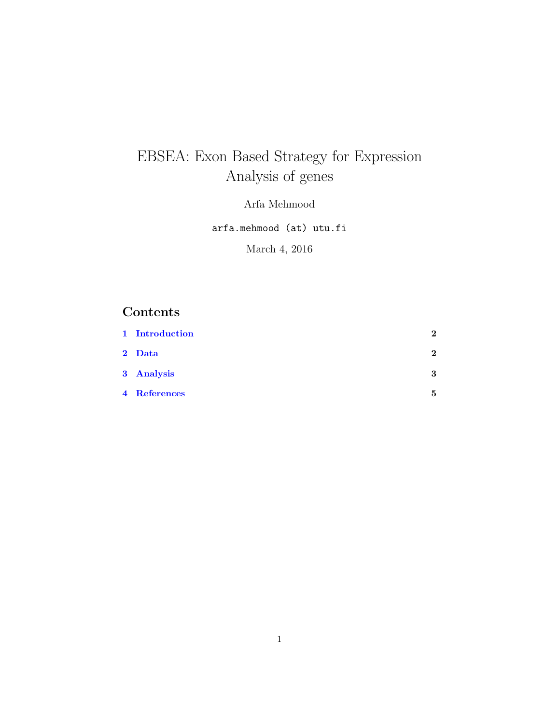# EBSEA: Exon Based Strategy for Expression Analysis of genes

Arfa Mehmood

arfa.mehmood (at) utu.fi

March 4, 2016

## Contents

| 1 Introduction | 2            |
|----------------|--------------|
| 2 Data         | $\mathbf{2}$ |
| 3 Analysis     | 3            |
| 4 References   | 5            |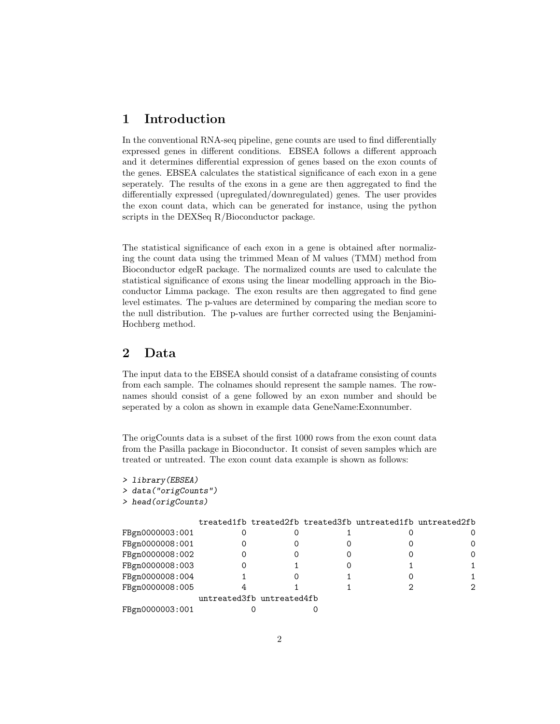#### <span id="page-1-0"></span>1 Introduction

In the conventional RNA-seq pipeline, gene counts are used to find differentially expressed genes in different conditions. EBSEA follows a different approach and it determines differential expression of genes based on the exon counts of the genes. EBSEA calculates the statistical significance of each exon in a gene seperately. The results of the exons in a gene are then aggregated to find the differentially expressed (upregulated/downregulated) genes. The user provides the exon count data, which can be generated for instance, using the python scripts in the DEXSeq R/Bioconductor package.

The statistical significance of each exon in a gene is obtained after normalizing the count data using the trimmed Mean of M values (TMM) method from Bioconductor edgeR package. The normalized counts are used to calculate the statistical significance of exons using the linear modelling approach in the Bioconductor Limma package. The exon results are then aggregated to find gene level estimates. The p-values are determined by comparing the median score to the null distribution. The p-values are further corrected using the Benjamini-Hochberg method.

#### <span id="page-1-1"></span>2 Data

The input data to the EBSEA should consist of a dataframe consisting of counts from each sample. The colnames should represent the sample names. The rownames should consist of a gene followed by an exon number and should be seperated by a colon as shown in example data GeneName:Exonnumber.

The origCounts data is a subset of the first 1000 rows from the exon count data from the Pasilla package in Bioconductor. It consist of seven samples which are treated or untreated. The exon count data example is shown as follows:

```
> library(EBSEA)
> data("origCounts")
> head(origCounts)
```

|                 |                           | treated1fb treated2fb treated3fb untreated1fb untreated2fb |          |
|-----------------|---------------------------|------------------------------------------------------------|----------|
| FBgn0000003:001 |                           |                                                            |          |
| FBgn0000008:001 |                           |                                                            | $\Omega$ |
| FBgn0000008:002 |                           |                                                            | $\Omega$ |
| FBgn0000008:003 |                           |                                                            |          |
| FBgn0000008:004 |                           |                                                            |          |
| FBgn0000008:005 |                           |                                                            | 2        |
|                 | untreated3fb untreated4fb |                                                            |          |
| FBgn0000003:001 |                           |                                                            |          |
|                 |                           |                                                            |          |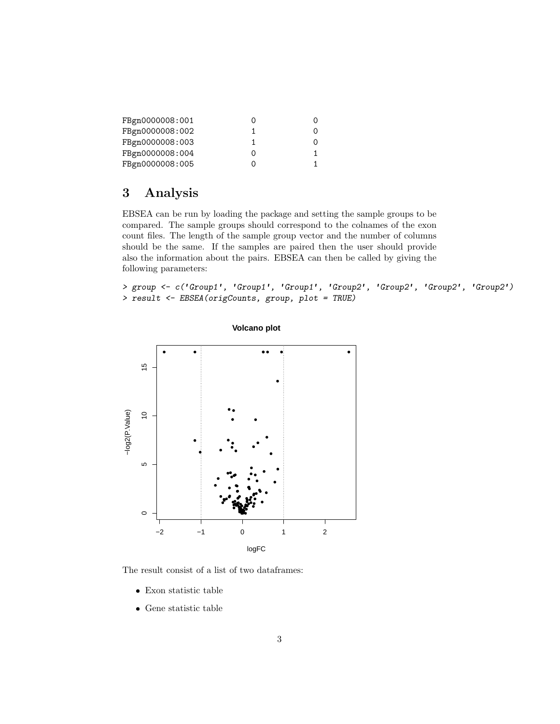| FBgn0000008:001 |          |
|-----------------|----------|
| FBgn0000008:002 | $\Omega$ |
| FBgn0000008:003 | $\Omega$ |
| FBgn0000008:004 |          |
| FBgn0000008:005 |          |

# <span id="page-2-0"></span>3 Analysis

EBSEA can be run by loading the package and setting the sample groups to be compared. The sample groups should correspond to the colnames of the exon count files. The length of the sample group vector and the number of columns should be the same. If the samples are paired then the user should provide also the information about the pairs. EBSEA can then be called by giving the following parameters:

> group <- c('Group1', 'Group1', 'Group1', 'Group2', 'Group2', 'Group2', 'Group2') > result <- EBSEA(origCounts, group, plot = TRUE)



**Volcano plot**

The result consist of a list of two dataframes:

- Exon statistic table
- Gene statistic table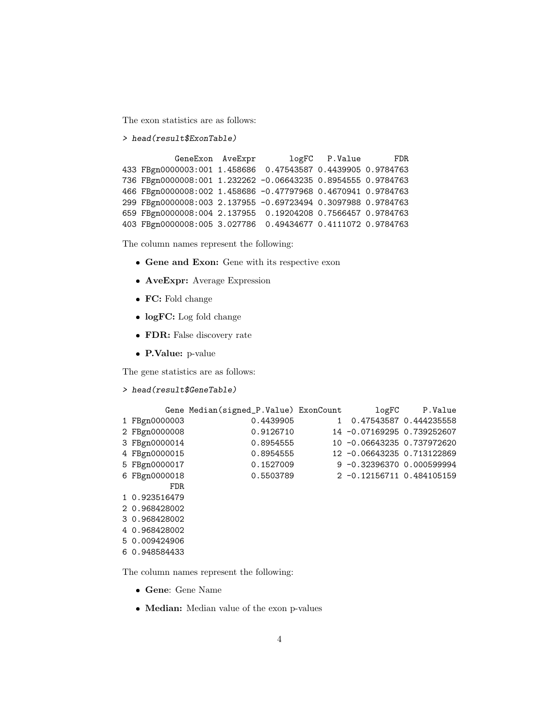The exon statistics are as follows:

```
> head(result$ExonTable)
```
GeneExon AveExpr logFC P.Value FDR 433 FBgn0000003:001 1.458686 0.47543587 0.4439905 0.9784763 736 FBgn0000008:001 1.232262 -0.06643235 0.8954555 0.9784763 466 FBgn0000008:002 1.458686 -0.47797968 0.4670941 0.9784763 299 FBgn0000008:003 2.137955 -0.69723494 0.3097988 0.9784763 659 FBgn0000008:004 2.137955 0.19204208 0.7566457 0.9784763 403 FBgn0000008:005 3.027786 0.49434677 0.4111072 0.9784763

The column names represent the following:

- Gene and Exon: Gene with its respective exon
- AveExpr: Average Expression
- FC: Fold change
- logFC: Log fold change
- FDR: False discovery rate
- P.Value: p-value

The gene statistics are as follows:

> head(result\$GeneTable)

|               | Gene Median(signed_P.Value) ExonCount |                              | logFC P.Value |
|---------------|---------------------------------------|------------------------------|---------------|
| 1 FBgn0000003 | 0.4439905                             | 1 0.47543587 0.444235558     |               |
| 2 FBgn0000008 | 0.9126710                             | 14 -0.07169295 0.739252607   |               |
| 3 FBgn0000014 | 0.8954555                             | 10 -0.06643235 0.737972620   |               |
| 4 FBgn0000015 | 0.8954555                             | 12 -0.06643235 0.713122869   |               |
| 5 FBgn0000017 | 0.1527009                             | $9 - 0.3239637000.000599994$ |               |
| 6 FBgn0000018 | 0.5503789                             | 2 -0.12156711 0.484105159    |               |
| FDR.          |                                       |                              |               |
| 1 0.923516479 |                                       |                              |               |
| 2 0.968428002 |                                       |                              |               |
| 3 0.968428002 |                                       |                              |               |
| 4 0.968428002 |                                       |                              |               |
| 5 0.009424906 |                                       |                              |               |
| 6 0.948584433 |                                       |                              |               |

The column names represent the following:

- Gene: Gene Name
- Median: Median value of the exon p-values